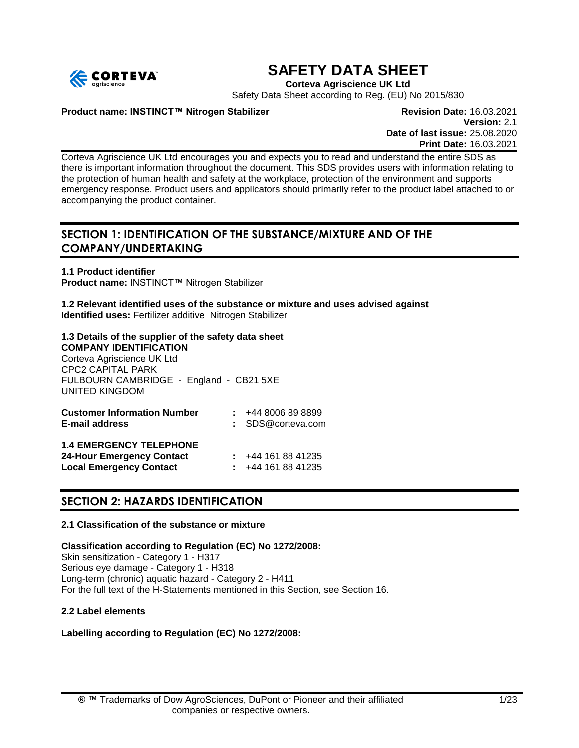

## **SAFETY DATA SHEET**

**Corteva Agriscience UK Ltd**

Safety Data Sheet according to Reg. (EU) No 2015/830

#### **Product name: INSTINCT™ Nitrogen Stabilizer <b>Revision Date: 16.03.2021**

**Version:** 2.1 **Date of last issue:** 25.08.2020 **Print Date:** 16.03.2021

Corteva Agriscience UK Ltd encourages you and expects you to read and understand the entire SDS as there is important information throughout the document. This SDS provides users with information relating to the protection of human health and safety at the workplace, protection of the environment and supports emergency response. Product users and applicators should primarily refer to the product label attached to or accompanying the product container.

## **SECTION 1: IDENTIFICATION OF THE SUBSTANCE/MIXTURE AND OF THE COMPANY/UNDERTAKING**

**1.1 Product identifier Product name:** INSTINCT™ Nitrogen Stabilizer

**1.2 Relevant identified uses of the substance or mixture and uses advised against Identified uses:** Fertilizer additive Nitrogen Stabilizer

#### **1.3 Details of the supplier of the safety data sheet COMPANY IDENTIFICATION**

Corteva Agriscience UK Ltd CPC2 CAPITAL PARK FULBOURN CAMBRIDGE - England - CB21 5XE UNITED KINGDOM

| <b>Customer Information Number</b><br><b>E-mail address</b>                                          | $\div$ +44 8006 89 8899<br>: SDS@corteva.com       |
|------------------------------------------------------------------------------------------------------|----------------------------------------------------|
| <b>1.4 EMERGENCY TELEPHONE</b><br><b>24-Hour Emergency Contact</b><br><b>Local Emergency Contact</b> | $\div$ +44 161 88 41235<br>$\div$ +44 161 88 41235 |

## **SECTION 2: HAZARDS IDENTIFICATION**

#### **2.1 Classification of the substance or mixture**

**Classification according to Regulation (EC) No 1272/2008:** Skin sensitization - Category 1 - H317 Serious eye damage - Category 1 - H318 Long-term (chronic) aquatic hazard - Category 2 - H411 For the full text of the H-Statements mentioned in this Section, see Section 16.

#### **2.2 Label elements**

**Labelling according to Regulation (EC) No 1272/2008:**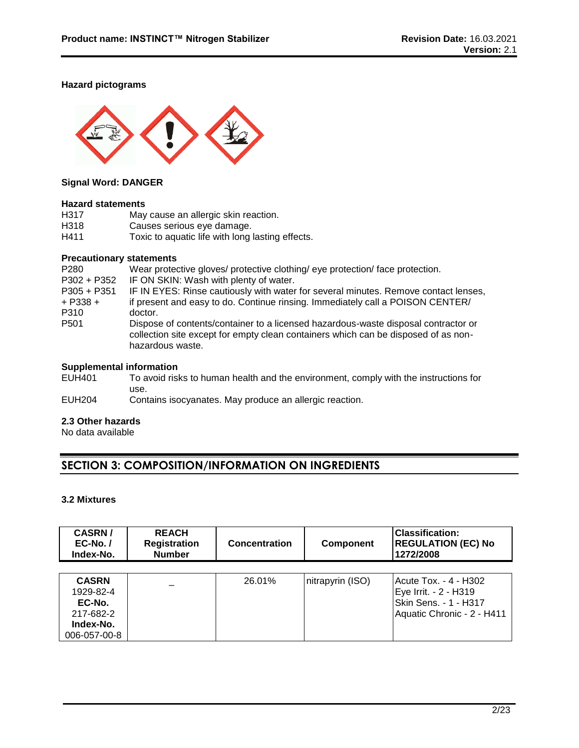#### **Hazard pictograms**



#### **Signal Word: DANGER**

#### **Hazard statements**

| H317 | May cause an allergic skin reaction.             |
|------|--------------------------------------------------|
| H318 | Causes serious eye damage.                       |
| H411 | Toxic to aquatic life with long lasting effects. |

#### **Precautionary statements**

| P <sub>280</sub> | Wear protective gloves/ protective clothing/ eye protection/ face protection.                                                                                                                |
|------------------|----------------------------------------------------------------------------------------------------------------------------------------------------------------------------------------------|
| P302 + P352      | IF ON SKIN: Wash with plenty of water.                                                                                                                                                       |
| $P305 + P351$    | IF IN EYES: Rinse cautiously with water for several minutes. Remove contact lenses,                                                                                                          |
| $+$ P338 +       | if present and easy to do. Continue rinsing. Immediately call a POISON CENTER/                                                                                                               |
| P310             | doctor.                                                                                                                                                                                      |
| P <sub>501</sub> | Dispose of contents/container to a licensed hazardous-waste disposal contractor or<br>collection site except for empty clean containers which can be disposed of as non-<br>hazardous waste. |
|                  |                                                                                                                                                                                              |

# **Supplemental information**<br>EUH401 To avoid risk

To avoid risks to human health and the environment, comply with the instructions for use.

EUH204 Contains isocyanates. May produce an allergic reaction.

#### **2.3 Other hazards**

No data available

## **SECTION 3: COMPOSITION/INFORMATION ON INGREDIENTS**

### **3.2 Mixtures**

| <b>CASRN/</b><br>$EC-No.$<br>Index-No. | <b>REACH</b><br><b>Registration</b><br><b>Number</b> | <b>Concentration</b> | <b>Component</b> | Classification:<br><b>REGULATION (EC) No</b><br>1272/2008 |
|----------------------------------------|------------------------------------------------------|----------------------|------------------|-----------------------------------------------------------|
|                                        |                                                      |                      |                  |                                                           |
| <b>CASRN</b>                           |                                                      | 26.01%               | nitrapyrin (ISO) | l Acute Tox. - 4 - H302                                   |
| 1929-82-4                              |                                                      |                      |                  | Eye Irrit. - 2 - H319                                     |
| EC-No.                                 |                                                      |                      |                  | Skin Sens. - 1 - H317                                     |
| 217-682-2                              |                                                      |                      |                  | Aquatic Chronic - 2 - H411                                |
| Index-No.                              |                                                      |                      |                  |                                                           |
| 006-057-00-8                           |                                                      |                      |                  |                                                           |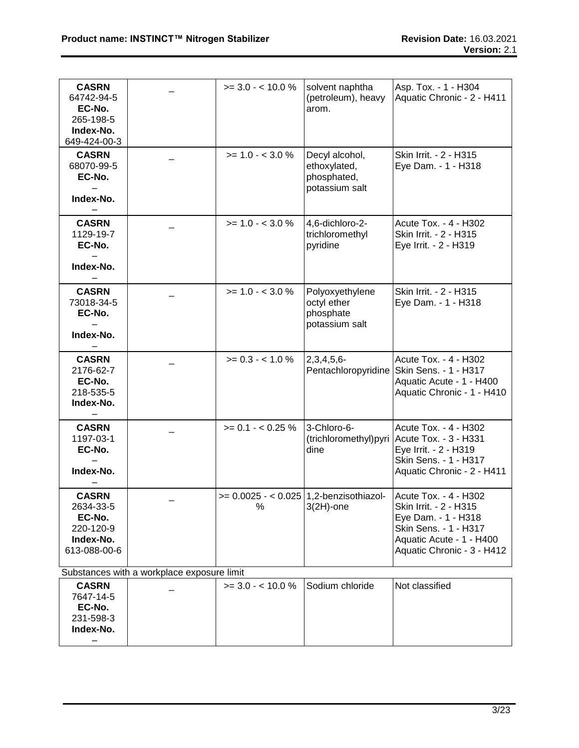| <b>CASRN</b><br>64742-94-5<br>EC-No.<br>265-198-5<br>Index-No.<br>649-424-00-3 |                                            | $>= 3.0 - 10.0 \%$                             | solvent naphtha<br>(petroleum), heavy<br>arom.                  | Asp. Tox. - 1 - H304<br>Aquatic Chronic - 2 - H411                                                                                                        |
|--------------------------------------------------------------------------------|--------------------------------------------|------------------------------------------------|-----------------------------------------------------------------|-----------------------------------------------------------------------------------------------------------------------------------------------------------|
| <b>CASRN</b><br>68070-99-5<br>EC-No.<br>Index-No.                              |                                            | $>= 1.0 - < 3.0 \%$                            | Decyl alcohol,<br>ethoxylated,<br>phosphated,<br>potassium salt | Skin Irrit. - 2 - H315<br>Eye Dam. - 1 - H318                                                                                                             |
| <b>CASRN</b><br>1129-19-7<br>EC-No.<br>Index-No.                               |                                            | $>= 1.0 - < 3.0 %$                             | 4,6-dichloro-2-<br>trichloromethyl<br>pyridine                  | Acute Tox. - 4 - H302<br>Skin Irrit. - 2 - H315<br>Eye Irrit. - 2 - H319                                                                                  |
| <b>CASRN</b><br>73018-34-5<br>EC-No.<br>Index-No.                              |                                            | $>= 1.0 - < 3.0 \%$                            | Polyoxyethylene<br>octyl ether<br>phosphate<br>potassium salt   | Skin Irrit. - 2 - H315<br>Eye Dam. - 1 - H318                                                                                                             |
| <b>CASRN</b><br>2176-62-7<br>EC-No.<br>218-535-5<br>Index-No.                  |                                            | $>= 0.3 - < 1.0 %$                             | $2,3,4,5,6-$                                                    | Acute Tox. - 4 - H302<br>Pentachloropyridine Skin Sens. - 1 - H317<br>Aquatic Acute - 1 - H400<br>Aquatic Chronic - 1 - H410                              |
| <b>CASRN</b><br>1197-03-1<br>EC-No.<br>Index-No.                               |                                            | $>= 0.1 - < 0.25 \%$                           | 3-Chloro-6-<br>dine                                             | Acute Tox. - 4 - H302<br>(trichloromethyl) pyri   Acute Tox. - 3 - H331<br>Eye Irrit. - 2 - H319<br>Skin Sens. - 1 - H317<br>Aquatic Chronic - 2 - H411   |
| <b>CASRN</b><br>2634-33-5<br>EC-No.<br>220-120-9<br>Index-No.<br>613-088-00-6  |                                            | $>= 0.0025 - 0.025$   1,2-benzisothiazol-<br>% | $3(2H)$ -one                                                    | Acute Tox. - 4 - H302<br>Skin Irrit. - 2 - H315<br>Eye Dam. - 1 - H318<br>Skin Sens. - 1 - H317<br>Aquatic Acute - 1 - H400<br>Aquatic Chronic - 3 - H412 |
|                                                                                | Substances with a workplace exposure limit |                                                |                                                                 |                                                                                                                                                           |
| <b>CASRN</b><br>7647-14-5<br>EC-No.<br>231-598-3<br>Index-No.                  |                                            | $>= 3.0 - 10.0 \%$                             | Sodium chloride                                                 | Not classified                                                                                                                                            |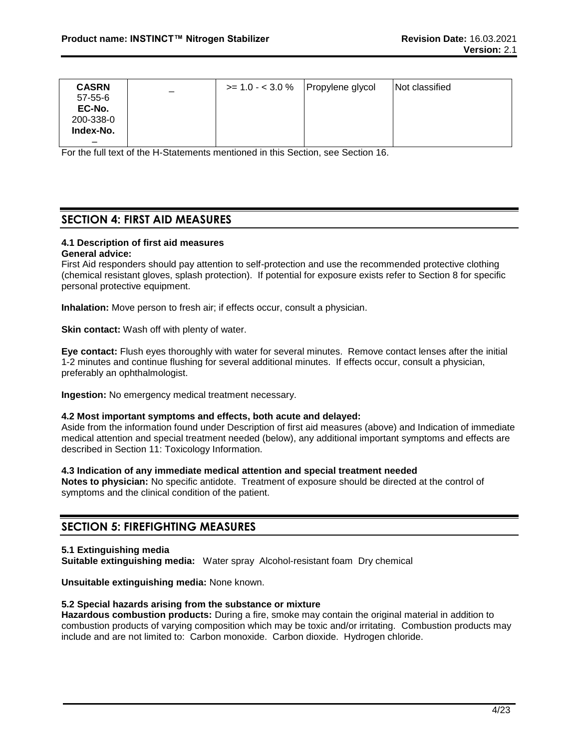| <b>CASRN</b>  | $\overline{\phantom{m}}$ | $>= 1.0 - 3.0 \%$ | Propylene glycol | Not classified |
|---------------|--------------------------|-------------------|------------------|----------------|
| $57 - 55 - 6$ |                          |                   |                  |                |
| EC-No.        |                          |                   |                  |                |
| 200-338-0     |                          |                   |                  |                |
| Index-No.     |                          |                   |                  |                |
| –             |                          |                   |                  |                |

For the full text of the H-Statements mentioned in this Section, see Section 16.

## **SECTION 4: FIRST AID MEASURES**

#### **4.1 Description of first aid measures**

#### **General advice:**

First Aid responders should pay attention to self-protection and use the recommended protective clothing (chemical resistant gloves, splash protection). If potential for exposure exists refer to Section 8 for specific personal protective equipment.

**Inhalation:** Move person to fresh air; if effects occur, consult a physician.

**Skin contact:** Wash off with plenty of water.

**Eye contact:** Flush eyes thoroughly with water for several minutes. Remove contact lenses after the initial 1-2 minutes and continue flushing for several additional minutes. If effects occur, consult a physician, preferably an ophthalmologist.

**Ingestion:** No emergency medical treatment necessary.

#### **4.2 Most important symptoms and effects, both acute and delayed:**

Aside from the information found under Description of first aid measures (above) and Indication of immediate medical attention and special treatment needed (below), any additional important symptoms and effects are described in Section 11: Toxicology Information.

#### **4.3 Indication of any immediate medical attention and special treatment needed**

**Notes to physician:** No specific antidote. Treatment of exposure should be directed at the control of symptoms and the clinical condition of the patient.

#### **SECTION 5: FIREFIGHTING MEASURES**

#### **5.1 Extinguishing media**

**Suitable extinguishing media:** Water spray Alcohol-resistant foam Dry chemical

**Unsuitable extinguishing media:** None known.

#### **5.2 Special hazards arising from the substance or mixture**

**Hazardous combustion products:** During a fire, smoke may contain the original material in addition to combustion products of varying composition which may be toxic and/or irritating. Combustion products may include and are not limited to: Carbon monoxide. Carbon dioxide. Hydrogen chloride.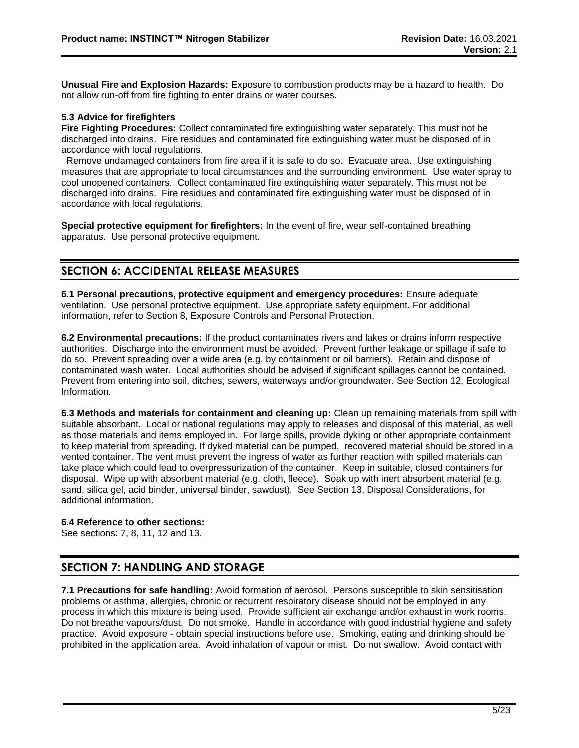**Unusual Fire and Explosion Hazards:** Exposure to combustion products may be a hazard to health. Do not allow run-off from fire fighting to enter drains or water courses.

#### **5.3 Advice for firefighters**

**Fire Fighting Procedures:** Collect contaminated fire extinguishing water separately. This must not be discharged into drains. Fire residues and contaminated fire extinguishing water must be disposed of in accordance with local regulations.

 Remove undamaged containers from fire area if it is safe to do so. Evacuate area. Use extinguishing measures that are appropriate to local circumstances and the surrounding environment. Use water spray to cool unopened containers. Collect contaminated fire extinguishing water separately. This must not be discharged into drains. Fire residues and contaminated fire extinguishing water must be disposed of in accordance with local regulations.

**Special protective equipment for firefighters:** In the event of fire, wear self-contained breathing apparatus. Use personal protective equipment.

## **SECTION 6: ACCIDENTAL RELEASE MEASURES**

**6.1 Personal precautions, protective equipment and emergency procedures:** Ensure adequate ventilation. Use personal protective equipment. Use appropriate safety equipment. For additional information, refer to Section 8, Exposure Controls and Personal Protection.

**6.2 Environmental precautions:** If the product contaminates rivers and lakes or drains inform respective authorities. Discharge into the environment must be avoided. Prevent further leakage or spillage if safe to do so. Prevent spreading over a wide area (e.g. by containment or oil barriers). Retain and dispose of contaminated wash water. Local authorities should be advised if significant spillages cannot be contained. Prevent from entering into soil, ditches, sewers, waterways and/or groundwater. See Section 12, Ecological Information.

**6.3 Methods and materials for containment and cleaning up:** Clean up remaining materials from spill with suitable absorbant. Local or national regulations may apply to releases and disposal of this material, as well as those materials and items employed in. For large spills, provide dyking or other appropriate containment to keep material from spreading. If dyked material can be pumped, recovered material should be stored in a vented container. The vent must prevent the ingress of water as further reaction with spilled materials can take place which could lead to overpressurization of the container. Keep in suitable, closed containers for disposal. Wipe up with absorbent material (e.g. cloth, fleece). Soak up with inert absorbent material (e.g. sand, silica gel, acid binder, universal binder, sawdust). See Section 13, Disposal Considerations, for additional information.

#### **6.4 Reference to other sections:**

See sections: 7, 8, 11, 12 and 13.

## **SECTION 7: HANDLING AND STORAGE**

**7.1 Precautions for safe handling:** Avoid formation of aerosol. Persons susceptible to skin sensitisation problems or asthma, allergies, chronic or recurrent respiratory disease should not be employed in any process in which this mixture is being used. Provide sufficient air exchange and/or exhaust in work rooms. Do not breathe vapours/dust. Do not smoke. Handle in accordance with good industrial hygiene and safety practice. Avoid exposure - obtain special instructions before use. Smoking, eating and drinking should be prohibited in the application area. Avoid inhalation of vapour or mist. Do not swallow. Avoid contact with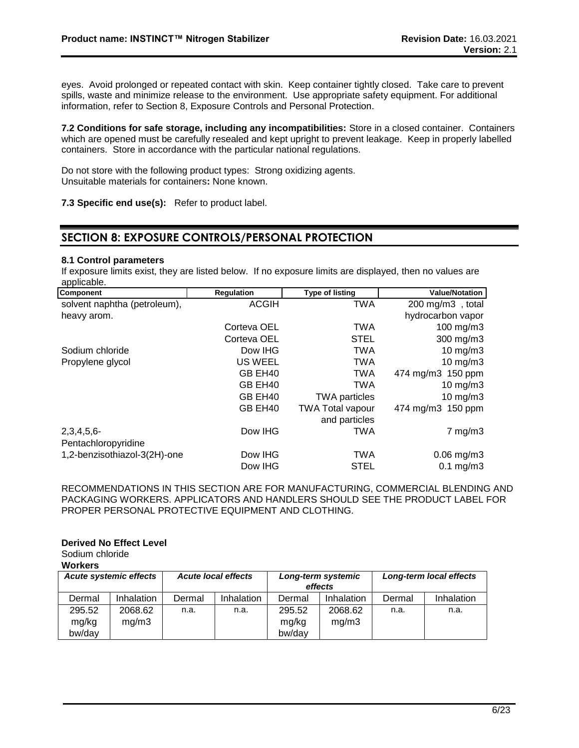eyes. Avoid prolonged or repeated contact with skin. Keep container tightly closed. Take care to prevent spills, waste and minimize release to the environment. Use appropriate safety equipment. For additional information, refer to Section 8, Exposure Controls and Personal Protection.

**7.2 Conditions for safe storage, including any incompatibilities:** Store in a closed container. Containers which are opened must be carefully resealed and kept upright to prevent leakage. Keep in properly labelled containers. Store in accordance with the particular national regulations.

Do not store with the following product types: Strong oxidizing agents. Unsuitable materials for containers**:** None known.

**7.3 Specific end use(s):** Refer to product label.

## **SECTION 8: EXPOSURE CONTROLS/PERSONAL PROTECTION**

#### **8.1 Control parameters**

If exposure limits exist, they are listed below. If no exposure limits are displayed, then no values are applicable.

| Component                    | <b>Regulation</b> | <b>Type of listing</b>  | <b>Value/Notation</b>      |
|------------------------------|-------------------|-------------------------|----------------------------|
| solvent naphtha (petroleum), | <b>ACGIH</b>      | <b>TWA</b>              | $200 \text{ mg/m}$ , total |
| heavy arom.                  |                   |                         | hydrocarbon vapor          |
|                              | Corteva OEL       | <b>TWA</b>              | 100 mg/m3                  |
|                              | Corteva OEL       | <b>STEL</b>             | $300$ mg/m $3$             |
| Sodium chloride              | Dow IHG           | <b>TWA</b>              | $10$ mg/m $3$              |
| Propylene glycol             | <b>US WEEL</b>    | <b>TWA</b>              | $10 \text{ mg/m}$          |
|                              | GB EH40           | <b>TWA</b>              | 474 mg/m3 150 ppm          |
|                              | GB EH40           | <b>TWA</b>              | 10 mg/m3                   |
|                              | GB EH40           | <b>TWA particles</b>    | $10 \text{ mg/m}$          |
|                              | GB EH40           | <b>TWA Total vapour</b> | 474 mg/m3 150 ppm          |
|                              |                   | and particles           |                            |
| $2,3,4,5,6$ -                | Dow IHG           | <b>TWA</b>              | $7 \text{ mg/m}$ 3         |
| Pentachloropyridine          |                   |                         |                            |
| 1,2-benzisothiazol-3(2H)-one | Dow IHG           | <b>TWA</b>              | $0.06$ mg/m $3$            |
|                              | Dow IHG           | <b>STEL</b>             | $0.1$ mg/m $3$             |

RECOMMENDATIONS IN THIS SECTION ARE FOR MANUFACTURING, COMMERCIAL BLENDING AND PACKAGING WORKERS. APPLICATORS AND HANDLERS SHOULD SEE THE PRODUCT LABEL FOR PROPER PERSONAL PROTECTIVE EQUIPMENT AND CLOTHING.

#### **Derived No Effect Level**

Sodium chloride

**Workers**

|        | <b>Acute systemic effects</b> | <b>Acute local effects</b> |            | Long-term systemic<br>effects |            | Long-term local effects |            |
|--------|-------------------------------|----------------------------|------------|-------------------------------|------------|-------------------------|------------|
| Dermal | Inhalation                    | Dermal                     | Inhalation | Dermal                        | Inhalation | Dermal                  | Inhalation |
| 295.52 | 2068.62                       | n.a.                       | n.a.       | 295.52                        | 2068.62    | n.a.                    | n.a.       |
| mg/kg  | mg/m3                         |                            |            | mg/kg                         | mq/m3      |                         |            |
| bw/day |                               |                            |            | bw/day                        |            |                         |            |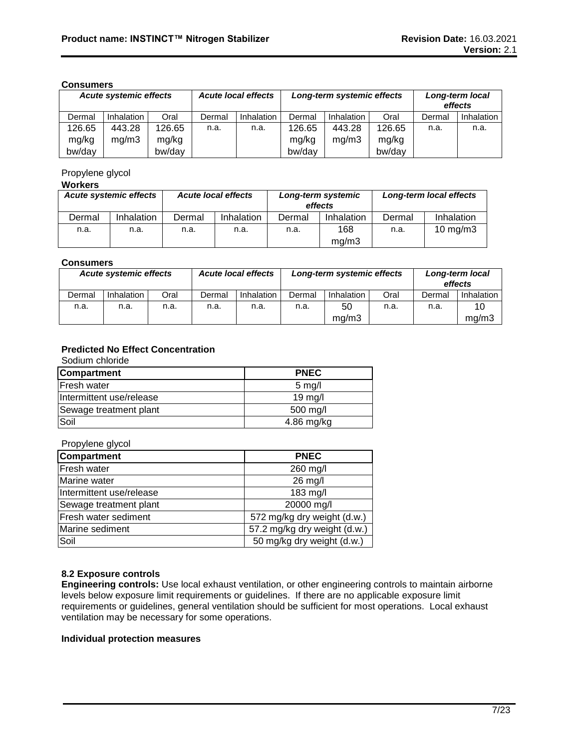#### **Consumers**

|        |            | <b>Acute local effects</b><br><b>Acute systemic effects</b> |        | Long-term systemic effects |        |            | Long-term local<br>effects |        |            |
|--------|------------|-------------------------------------------------------------|--------|----------------------------|--------|------------|----------------------------|--------|------------|
| Dermal | Inhalation | Oral                                                        | Dermal | <b>Inhalation</b>          | Dermal | Inhalation | Oral                       | Dermal | Inhalation |
| 126.65 | 443.28     | 126.65                                                      | n.a.   | n.a.                       | 126.65 | 443.28     | 126.65                     | n.a.   | n.a.       |
| mg/kg  | mg/m3      | mg/kg                                                       |        |                            | mg/kg  | ma/m3      | mg/kg                      |        |            |
| bw/day |            | bw/day                                                      |        |                            | bw/day |            | bw/day                     |        |            |

#### Propylene glycol

#### **Workers**

|        | <b>Acute systemic effects</b><br><b>Acute local effects</b> |        | Long-term systemic<br>effects |        | Long-term local effects |        |                     |
|--------|-------------------------------------------------------------|--------|-------------------------------|--------|-------------------------|--------|---------------------|
| Dermal | Inhalation                                                  | Dermal | Inhalation                    | Dermal | Inhalation              | Dermal | Inhalation          |
| n.a.   | n.a.                                                        | n.a.   | n.a.                          | n.a.   | 168<br>mq/m3            | n.a.   | $10 \text{ mg/m}$ 3 |

#### **Consumers**

|        | <b>Acute systemic effects</b> |      | <b>Acute local effects</b> |                   | Long-term systemic effects |            |      | Long-term local<br>effects |            |
|--------|-------------------------------|------|----------------------------|-------------------|----------------------------|------------|------|----------------------------|------------|
| Dermal | Inhalation                    | Oral | Dermal                     | <b>Inhalation</b> | Dermal                     | Inhalation | Oral | Dermal                     | Inhalation |
| n.a.   | n.a.                          | n.a. | n.a.                       | n.a.              | n.a.                       | 50         | n.a. | n.a.                       | 10         |
|        |                               |      |                            |                   |                            | ma/m3      |      |                            | ma/m3      |

## **Predicted No Effect Concentration**

Sodium chloride

| <b>Compartment</b>       | <b>PNEC</b>       |
|--------------------------|-------------------|
| <b>Fresh water</b>       | $5 \text{ mg/l}$  |
| Intermittent use/release | $19 \text{ mg/l}$ |
| Sewage treatment plant   | $500$ mg/l        |
| Soil                     | $4.86$ mg/kg      |

#### Propylene glycol

| <b>Compartment</b>       | <b>PNEC</b>                  |
|--------------------------|------------------------------|
| Fresh water              | 260 mg/l                     |
| Marine water             | 26 mg/l                      |
| Intermittent use/release | 183 mg/l                     |
| Sewage treatment plant   | 20000 mg/l                   |
| Fresh water sediment     | 572 mg/kg dry weight (d.w.)  |
| Marine sediment          | 57.2 mg/kg dry weight (d.w.) |
| Soil                     | 50 mg/kg dry weight (d.w.)   |

#### **8.2 Exposure controls**

**Engineering controls:** Use local exhaust ventilation, or other engineering controls to maintain airborne levels below exposure limit requirements or guidelines. If there are no applicable exposure limit requirements or guidelines, general ventilation should be sufficient for most operations. Local exhaust ventilation may be necessary for some operations.

#### **Individual protection measures**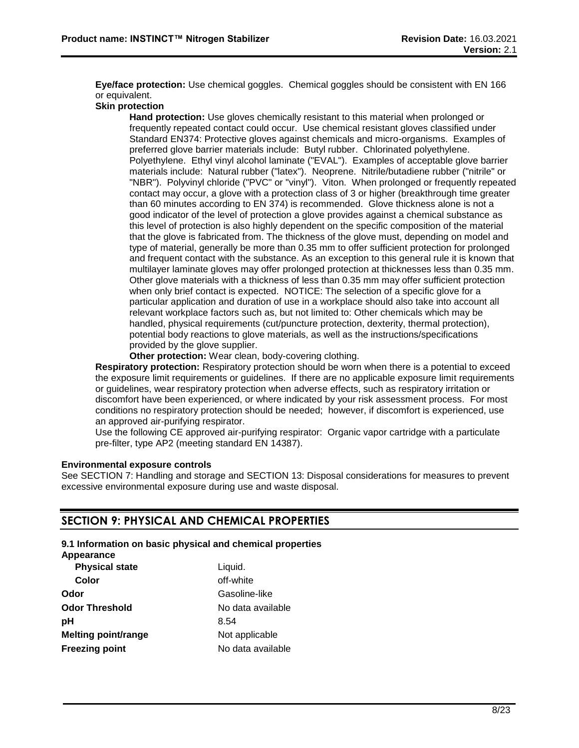**Eye/face protection:** Use chemical goggles. Chemical goggles should be consistent with EN 166 or equivalent.

#### **Skin protection**

**Hand protection:** Use gloves chemically resistant to this material when prolonged or frequently repeated contact could occur. Use chemical resistant gloves classified under Standard EN374: Protective gloves against chemicals and micro-organisms. Examples of preferred glove barrier materials include: Butyl rubber. Chlorinated polyethylene. Polyethylene. Ethyl vinyl alcohol laminate ("EVAL"). Examples of acceptable glove barrier materials include: Natural rubber ("latex"). Neoprene. Nitrile/butadiene rubber ("nitrile" or "NBR"). Polyvinyl chloride ("PVC" or "vinyl"). Viton. When prolonged or frequently repeated contact may occur, a glove with a protection class of 3 or higher (breakthrough time greater than 60 minutes according to EN 374) is recommended. Glove thickness alone is not a good indicator of the level of protection a glove provides against a chemical substance as this level of protection is also highly dependent on the specific composition of the material that the glove is fabricated from. The thickness of the glove must, depending on model and type of material, generally be more than 0.35 mm to offer sufficient protection for prolonged and frequent contact with the substance. As an exception to this general rule it is known that multilayer laminate gloves may offer prolonged protection at thicknesses less than 0.35 mm. Other glove materials with a thickness of less than 0.35 mm may offer sufficient protection when only brief contact is expected. NOTICE: The selection of a specific glove for a particular application and duration of use in a workplace should also take into account all relevant workplace factors such as, but not limited to: Other chemicals which may be handled, physical requirements (cut/puncture protection, dexterity, thermal protection), potential body reactions to glove materials, as well as the instructions/specifications provided by the glove supplier.

**Other protection:** Wear clean, body-covering clothing.

**Respiratory protection:** Respiratory protection should be worn when there is a potential to exceed the exposure limit requirements or guidelines. If there are no applicable exposure limit requirements or guidelines, wear respiratory protection when adverse effects, such as respiratory irritation or discomfort have been experienced, or where indicated by your risk assessment process. For most conditions no respiratory protection should be needed; however, if discomfort is experienced, use an approved air-purifying respirator.

Use the following CE approved air-purifying respirator: Organic vapor cartridge with a particulate pre-filter, type AP2 (meeting standard EN 14387).

#### **Environmental exposure controls**

See SECTION 7: Handling and storage and SECTION 13: Disposal considerations for measures to prevent excessive environmental exposure during use and waste disposal.

## **SECTION 9: PHYSICAL AND CHEMICAL PROPERTIES**

#### **9.1 Information on basic physical and chemical properties**

**Appearance**

| <b>Physical state</b>      | Liquid.           |
|----------------------------|-------------------|
| Color                      | off-white         |
| Odor                       | Gasoline-like     |
| <b>Odor Threshold</b>      | No data available |
| рH                         | 8.54              |
| <b>Melting point/range</b> | Not applicable    |
| <b>Freezing point</b>      | No data available |
|                            |                   |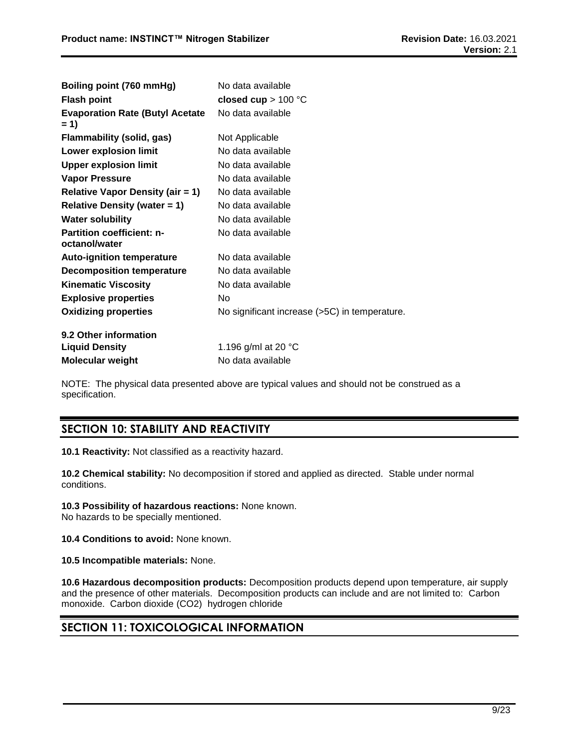| Boiling point (760 mmHg)                          | No data available                             |
|---------------------------------------------------|-----------------------------------------------|
| <b>Flash point</b>                                | closed cup $> 100$ °C                         |
| <b>Evaporation Rate (Butyl Acetate</b><br>$= 1$   | No data available                             |
| Flammability (solid, gas)                         | Not Applicable                                |
| <b>Lower explosion limit</b>                      | No data available                             |
| <b>Upper explosion limit</b>                      | No data available                             |
| <b>Vapor Pressure</b>                             | No data available                             |
| <b>Relative Vapor Density (air = 1)</b>           | No data available                             |
| Relative Density (water $= 1$ )                   | No data available                             |
| <b>Water solubility</b>                           | No data available                             |
| <b>Partition coefficient: n-</b><br>octanol/water | No data available                             |
| <b>Auto-ignition temperature</b>                  | No data available                             |
| <b>Decomposition temperature</b>                  | No data available                             |
| <b>Kinematic Viscosity</b>                        | No data available                             |
| <b>Explosive properties</b>                       | No                                            |
| <b>Oxidizing properties</b>                       | No significant increase (>5C) in temperature. |
| 9.2 Other information                             |                                               |
| <b>Liquid Density</b>                             | 1.196 g/ml at 20 $^{\circ}$ C                 |
| <b>Molecular weight</b>                           | No data available                             |

NOTE: The physical data presented above are typical values and should not be construed as a specification.

## **SECTION 10: STABILITY AND REACTIVITY**

**10.1 Reactivity:** Not classified as a reactivity hazard.

**10.2 Chemical stability:** No decomposition if stored and applied as directed. Stable under normal conditions.

**10.3 Possibility of hazardous reactions:** None known.

No hazards to be specially mentioned.

**10.4 Conditions to avoid:** None known.

**10.5 Incompatible materials:** None.

**10.6 Hazardous decomposition products:** Decomposition products depend upon temperature, air supply and the presence of other materials. Decomposition products can include and are not limited to: Carbon monoxide. Carbon dioxide (CO2) hydrogen chloride

## **SECTION 11: TOXICOLOGICAL INFORMATION**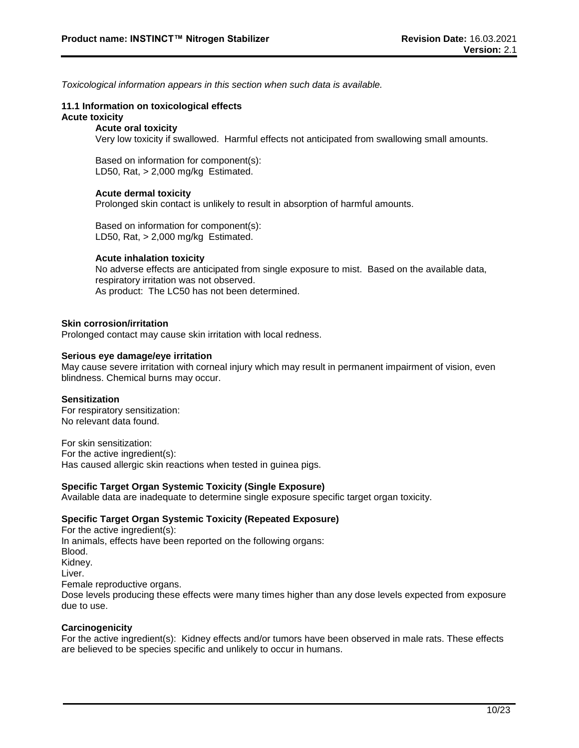*Toxicological information appears in this section when such data is available.*

#### **11.1 Information on toxicological effects Acute toxicity**

#### **Acute oral toxicity**

Very low toxicity if swallowed. Harmful effects not anticipated from swallowing small amounts.

Based on information for component(s): LD50, Rat, > 2,000 mg/kg Estimated.

#### **Acute dermal toxicity**

Prolonged skin contact is unlikely to result in absorption of harmful amounts.

Based on information for component(s): LD50, Rat, > 2,000 mg/kg Estimated.

#### **Acute inhalation toxicity**

No adverse effects are anticipated from single exposure to mist. Based on the available data, respiratory irritation was not observed. As product: The LC50 has not been determined.

#### **Skin corrosion/irritation**

Prolonged contact may cause skin irritation with local redness.

#### **Serious eye damage/eye irritation**

May cause severe irritation with corneal injury which may result in permanent impairment of vision, even blindness. Chemical burns may occur.

#### **Sensitization**

For respiratory sensitization: No relevant data found.

For skin sensitization: For the active ingredient(s): Has caused allergic skin reactions when tested in guinea pigs.

#### **Specific Target Organ Systemic Toxicity (Single Exposure)**

Available data are inadequate to determine single exposure specific target organ toxicity.

#### **Specific Target Organ Systemic Toxicity (Repeated Exposure)**

For the active ingredient(s): In animals, effects have been reported on the following organs: Blood. Kidney. Liver. Female reproductive organs. Dose levels producing these effects were many times higher than any dose levels expected from exposure due to use.

#### **Carcinogenicity**

For the active ingredient(s): Kidney effects and/or tumors have been observed in male rats. These effects are believed to be species specific and unlikely to occur in humans.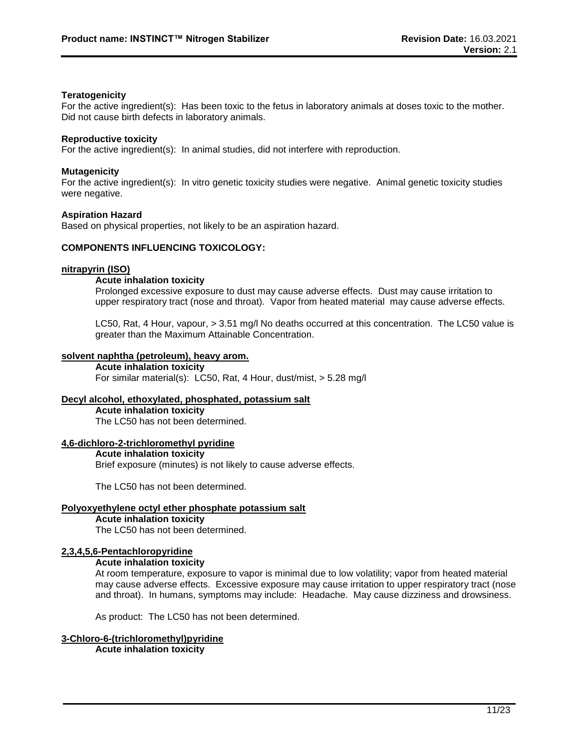#### **Teratogenicity**

For the active ingredient(s): Has been toxic to the fetus in laboratory animals at doses toxic to the mother. Did not cause birth defects in laboratory animals.

#### **Reproductive toxicity**

For the active ingredient(s): In animal studies, did not interfere with reproduction.

#### **Mutagenicity**

For the active ingredient(s): In vitro genetic toxicity studies were negative. Animal genetic toxicity studies were negative.

#### **Aspiration Hazard**

Based on physical properties, not likely to be an aspiration hazard.

#### **COMPONENTS INFLUENCING TOXICOLOGY:**

#### **nitrapyrin (ISO)**

#### **Acute inhalation toxicity**

Prolonged excessive exposure to dust may cause adverse effects. Dust may cause irritation to upper respiratory tract (nose and throat). Vapor from heated material may cause adverse effects.

LC50, Rat, 4 Hour, vapour, > 3.51 mg/l No deaths occurred at this concentration. The LC50 value is greater than the Maximum Attainable Concentration.

#### **solvent naphtha (petroleum), heavy arom.**

**Acute inhalation toxicity** For similar material(s): LC50, Rat, 4 Hour, dust/mist, > 5.28 mg/l

## **Decyl alcohol, ethoxylated, phosphated, potassium salt**

**Acute inhalation toxicity** The LC50 has not been determined.

#### **4,6-dichloro-2-trichloromethyl pyridine**

#### **Acute inhalation toxicity**

Brief exposure (minutes) is not likely to cause adverse effects.

The LC50 has not been determined.

## **Polyoxyethylene octyl ether phosphate potassium salt**

## **Acute inhalation toxicity**

The LC50 has not been determined.

#### **2,3,4,5,6-Pentachloropyridine**

#### **Acute inhalation toxicity**

At room temperature, exposure to vapor is minimal due to low volatility; vapor from heated material may cause adverse effects. Excessive exposure may cause irritation to upper respiratory tract (nose and throat). In humans, symptoms may include: Headache. May cause dizziness and drowsiness.

As product: The LC50 has not been determined.

#### **3-Chloro-6-(trichloromethyl)pyridine Acute inhalation toxicity**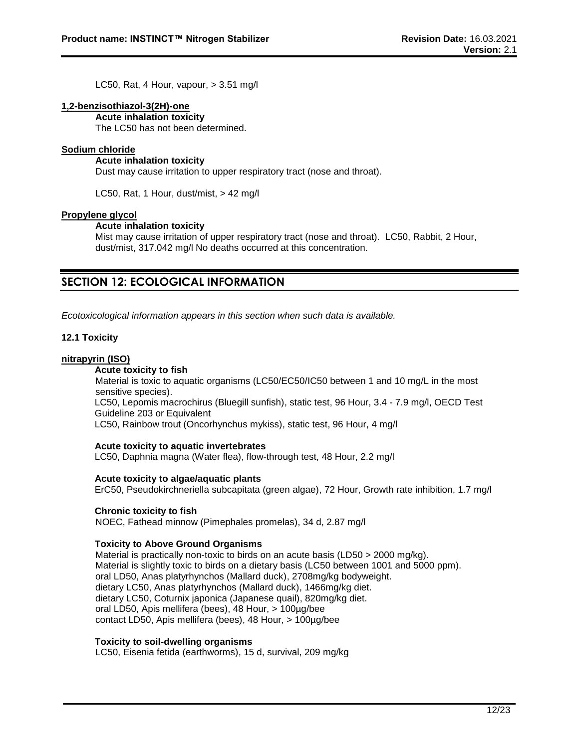LC50, Rat, 4 Hour, vapour, > 3.51 mg/l

#### **1,2-benzisothiazol-3(2H)-one**

**Acute inhalation toxicity**

The LC50 has not been determined.

#### **Sodium chloride**

#### **Acute inhalation toxicity**

Dust may cause irritation to upper respiratory tract (nose and throat).

LC50, Rat, 1 Hour, dust/mist, > 42 mg/l

#### **Propylene glycol**

#### **Acute inhalation toxicity**

Mist may cause irritation of upper respiratory tract (nose and throat). LC50, Rabbit, 2 Hour, dust/mist, 317.042 mg/l No deaths occurred at this concentration.

## **SECTION 12: ECOLOGICAL INFORMATION**

*Ecotoxicological information appears in this section when such data is available.*

#### **12.1 Toxicity**

#### **nitrapyrin (ISO)**

#### **Acute toxicity to fish**

Material is toxic to aquatic organisms (LC50/EC50/IC50 between 1 and 10 mg/L in the most sensitive species). LC50, Lepomis macrochirus (Bluegill sunfish), static test, 96 Hour, 3.4 - 7.9 mg/l, OECD Test Guideline 203 or Equivalent

LC50, Rainbow trout (Oncorhynchus mykiss), static test, 96 Hour, 4 mg/l

#### **Acute toxicity to aquatic invertebrates**

LC50, Daphnia magna (Water flea), flow-through test, 48 Hour, 2.2 mg/l

#### **Acute toxicity to algae/aquatic plants**

ErC50, Pseudokirchneriella subcapitata (green algae), 72 Hour, Growth rate inhibition, 1.7 mg/l

#### **Chronic toxicity to fish**

NOEC, Fathead minnow (Pimephales promelas), 34 d, 2.87 mg/l

#### **Toxicity to Above Ground Organisms**

Material is practically non-toxic to birds on an acute basis (LD50 > 2000 mg/kg). Material is slightly toxic to birds on a dietary basis (LC50 between 1001 and 5000 ppm). oral LD50, Anas platyrhynchos (Mallard duck), 2708mg/kg bodyweight. dietary LC50, Anas platyrhynchos (Mallard duck), 1466mg/kg diet. dietary LC50, Coturnix japonica (Japanese quail), 820mg/kg diet. oral LD50, Apis mellifera (bees), 48 Hour, > 100µg/bee contact LD50, Apis mellifera (bees), 48 Hour, > 100µg/bee

#### **Toxicity to soil-dwelling organisms**

LC50, Eisenia fetida (earthworms), 15 d, survival, 209 mg/kg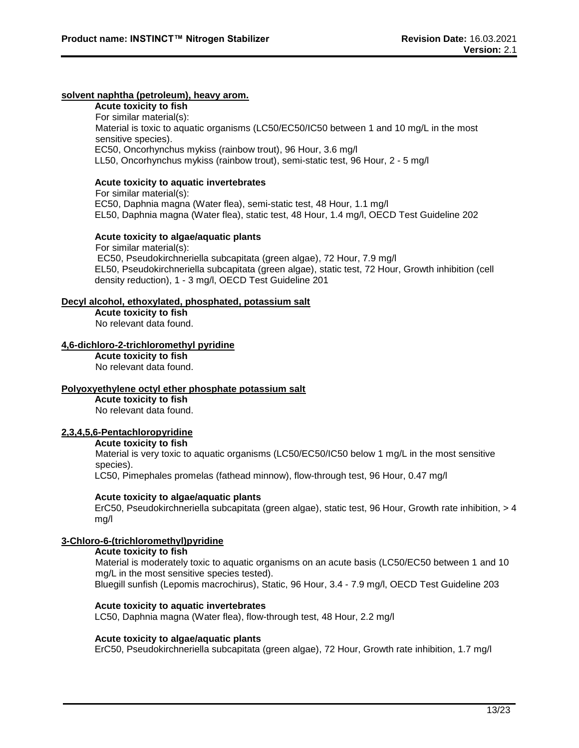#### **solvent naphtha (petroleum), heavy arom.**

**Acute toxicity to fish** For similar material(s): Material is toxic to aquatic organisms (LC50/EC50/IC50 between 1 and 10 mg/L in the most sensitive species). EC50, Oncorhynchus mykiss (rainbow trout), 96 Hour, 3.6 mg/l LL50, Oncorhynchus mykiss (rainbow trout), semi-static test, 96 Hour, 2 - 5 mg/l

#### **Acute toxicity to aquatic invertebrates**

For similar material(s): EC50, Daphnia magna (Water flea), semi-static test, 48 Hour, 1.1 mg/l EL50, Daphnia magna (Water flea), static test, 48 Hour, 1.4 mg/l, OECD Test Guideline 202

#### **Acute toxicity to algae/aquatic plants**

For similar material(s): EC50, Pseudokirchneriella subcapitata (green algae), 72 Hour, 7.9 mg/l EL50, Pseudokirchneriella subcapitata (green algae), static test, 72 Hour, Growth inhibition (cell density reduction), 1 - 3 mg/l, OECD Test Guideline 201

#### **Decyl alcohol, ethoxylated, phosphated, potassium salt**

**Acute toxicity to fish** No relevant data found.

#### **4,6-dichloro-2-trichloromethyl pyridine**

**Acute toxicity to fish** No relevant data found.

#### **Polyoxyethylene octyl ether phosphate potassium salt**

**Acute toxicity to fish** No relevant data found.

#### **2,3,4,5,6-Pentachloropyridine**

#### **Acute toxicity to fish**

Material is very toxic to aquatic organisms (LC50/EC50/IC50 below 1 mg/L in the most sensitive species).

LC50, Pimephales promelas (fathead minnow), flow-through test, 96 Hour, 0.47 mg/l

#### **Acute toxicity to algae/aquatic plants**

ErC50, Pseudokirchneriella subcapitata (green algae), static test, 96 Hour, Growth rate inhibition, > 4 mg/l

#### **3-Chloro-6-(trichloromethyl)pyridine**

#### **Acute toxicity to fish**

Material is moderately toxic to aquatic organisms on an acute basis (LC50/EC50 between 1 and 10 mg/L in the most sensitive species tested). Bluegill sunfish (Lepomis macrochirus), Static, 96 Hour, 3.4 - 7.9 mg/l, OECD Test Guideline 203

#### **Acute toxicity to aquatic invertebrates**

LC50, Daphnia magna (Water flea), flow-through test, 48 Hour, 2.2 mg/l

#### **Acute toxicity to algae/aquatic plants**

ErC50, Pseudokirchneriella subcapitata (green algae), 72 Hour, Growth rate inhibition, 1.7 mg/l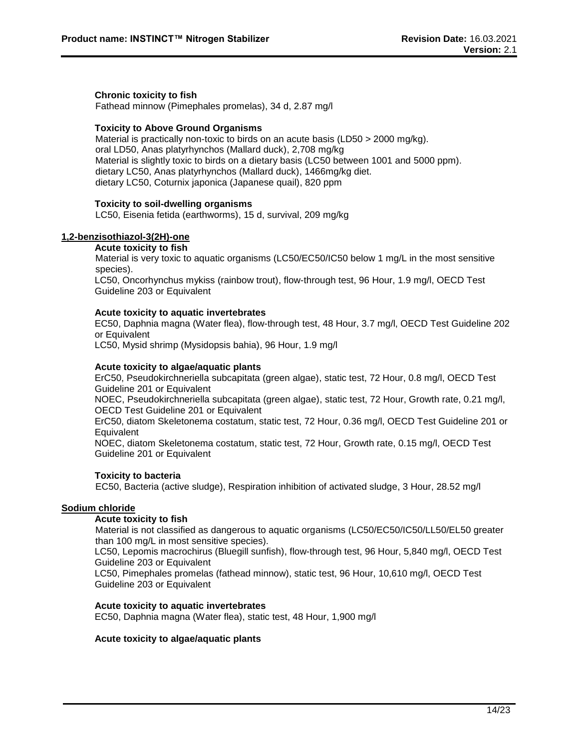#### **Chronic toxicity to fish**

Fathead minnow (Pimephales promelas), 34 d, 2.87 mg/l

#### **Toxicity to Above Ground Organisms**

Material is practically non-toxic to birds on an acute basis (LD50 > 2000 mg/kg). oral LD50, Anas platyrhynchos (Mallard duck), 2,708 mg/kg Material is slightly toxic to birds on a dietary basis (LC50 between 1001 and 5000 ppm). dietary LC50, Anas platyrhynchos (Mallard duck), 1466mg/kg diet. dietary LC50, Coturnix japonica (Japanese quail), 820 ppm

#### **Toxicity to soil-dwelling organisms**

LC50, Eisenia fetida (earthworms), 15 d, survival, 209 mg/kg

#### **1,2-benzisothiazol-3(2H)-one**

#### **Acute toxicity to fish**

Material is very toxic to aquatic organisms (LC50/EC50/IC50 below 1 mg/L in the most sensitive species).

LC50, Oncorhynchus mykiss (rainbow trout), flow-through test, 96 Hour, 1.9 mg/l, OECD Test Guideline 203 or Equivalent

#### **Acute toxicity to aquatic invertebrates**

EC50, Daphnia magna (Water flea), flow-through test, 48 Hour, 3.7 mg/l, OECD Test Guideline 202 or Equivalent

LC50, Mysid shrimp (Mysidopsis bahia), 96 Hour, 1.9 mg/l

#### **Acute toxicity to algae/aquatic plants**

ErC50, Pseudokirchneriella subcapitata (green algae), static test, 72 Hour, 0.8 mg/l, OECD Test Guideline 201 or Equivalent

NOEC, Pseudokirchneriella subcapitata (green algae), static test, 72 Hour, Growth rate, 0.21 mg/l, OECD Test Guideline 201 or Equivalent

ErC50, diatom Skeletonema costatum, static test, 72 Hour, 0.36 mg/l, OECD Test Guideline 201 or Equivalent

NOEC, diatom Skeletonema costatum, static test, 72 Hour, Growth rate, 0.15 mg/l, OECD Test Guideline 201 or Equivalent

#### **Toxicity to bacteria**

EC50, Bacteria (active sludge), Respiration inhibition of activated sludge, 3 Hour, 28.52 mg/l

#### **Sodium chloride**

#### **Acute toxicity to fish**

Material is not classified as dangerous to aquatic organisms (LC50/EC50/IC50/LL50/EL50 greater than 100 mg/L in most sensitive species).

LC50, Lepomis macrochirus (Bluegill sunfish), flow-through test, 96 Hour, 5,840 mg/l, OECD Test Guideline 203 or Equivalent

LC50, Pimephales promelas (fathead minnow), static test, 96 Hour, 10,610 mg/l, OECD Test Guideline 203 or Equivalent

#### **Acute toxicity to aquatic invertebrates**

EC50, Daphnia magna (Water flea), static test, 48 Hour, 1,900 mg/l

#### **Acute toxicity to algae/aquatic plants**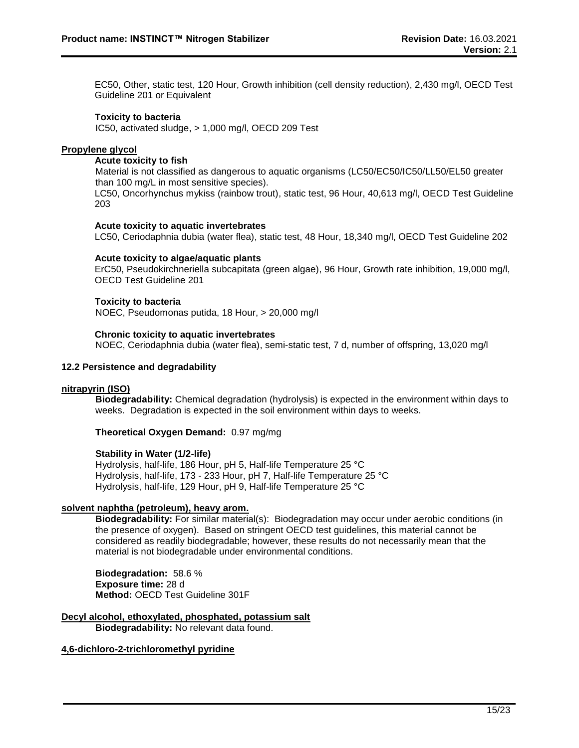EC50, Other, static test, 120 Hour, Growth inhibition (cell density reduction), 2,430 mg/l, OECD Test Guideline 201 or Equivalent

#### **Toxicity to bacteria**

IC50, activated sludge, > 1,000 mg/l, OECD 209 Test

#### **Propylene glycol**

#### **Acute toxicity to fish**

Material is not classified as dangerous to aquatic organisms (LC50/EC50/IC50/LL50/EL50 greater than 100 mg/L in most sensitive species). LC50, Oncorhynchus mykiss (rainbow trout), static test, 96 Hour, 40,613 mg/l, OECD Test Guideline

203

#### **Acute toxicity to aquatic invertebrates**

LC50, Ceriodaphnia dubia (water flea), static test, 48 Hour, 18,340 mg/l, OECD Test Guideline 202

#### **Acute toxicity to algae/aquatic plants**

ErC50, Pseudokirchneriella subcapitata (green algae), 96 Hour, Growth rate inhibition, 19,000 mg/l, OECD Test Guideline 201

#### **Toxicity to bacteria**

NOEC, Pseudomonas putida, 18 Hour, > 20,000 mg/l

#### **Chronic toxicity to aquatic invertebrates**

NOEC, Ceriodaphnia dubia (water flea), semi-static test, 7 d, number of offspring, 13,020 mg/l

#### **12.2 Persistence and degradability**

#### **nitrapyrin (ISO)**

**Biodegradability:** Chemical degradation (hydrolysis) is expected in the environment within days to weeks. Degradation is expected in the soil environment within days to weeks.

**Theoretical Oxygen Demand:** 0.97 mg/mg

#### **Stability in Water (1/2-life)**

Hydrolysis, half-life, 186 Hour, pH 5, Half-life Temperature 25 °C Hydrolysis, half-life, 173 - 233 Hour, pH 7, Half-life Temperature 25 °C Hydrolysis, half-life, 129 Hour, pH 9, Half-life Temperature 25 °C

#### **solvent naphtha (petroleum), heavy arom.**

**Biodegradability:** For similar material(s): Biodegradation may occur under aerobic conditions (in the presence of oxygen). Based on stringent OECD test guidelines, this material cannot be considered as readily biodegradable; however, these results do not necessarily mean that the material is not biodegradable under environmental conditions.

**Biodegradation:** 58.6 % **Exposure time:** 28 d **Method:** OECD Test Guideline 301F

#### **Decyl alcohol, ethoxylated, phosphated, potassium salt**

**Biodegradability:** No relevant data found.

#### **4,6-dichloro-2-trichloromethyl pyridine**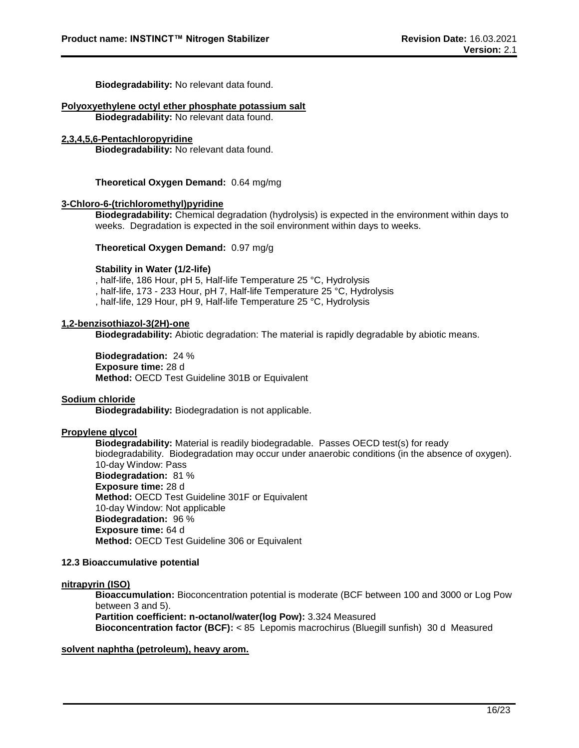**Biodegradability:** No relevant data found.

### **Polyoxyethylene octyl ether phosphate potassium salt**

**Biodegradability:** No relevant data found.

#### **2,3,4,5,6-Pentachloropyridine**

**Biodegradability:** No relevant data found.

**Theoretical Oxygen Demand:** 0.64 mg/mg

#### **3-Chloro-6-(trichloromethyl)pyridine**

**Biodegradability:** Chemical degradation (hydrolysis) is expected in the environment within days to weeks. Degradation is expected in the soil environment within days to weeks.

**Theoretical Oxygen Demand:** 0.97 mg/g

#### **Stability in Water (1/2-life)**

, half-life, 186 Hour, pH 5, Half-life Temperature 25 °C, Hydrolysis , half-life, 173 - 233 Hour, pH 7, Half-life Temperature 25 °C, Hydrolysis , half-life, 129 Hour, pH 9, Half-life Temperature 25 °C, Hydrolysis

#### **1,2-benzisothiazol-3(2H)-one**

**Biodegradability:** Abiotic degradation: The material is rapidly degradable by abiotic means.

**Biodegradation:** 24 % **Exposure time:** 28 d **Method:** OECD Test Guideline 301B or Equivalent

#### **Sodium chloride**

**Biodegradability:** Biodegradation is not applicable.

#### **Propylene glycol**

**Biodegradability:** Material is readily biodegradable. Passes OECD test(s) for ready biodegradability. Biodegradation may occur under anaerobic conditions (in the absence of oxygen). 10-day Window: Pass **Biodegradation:** 81 % **Exposure time:** 28 d **Method:** OECD Test Guideline 301F or Equivalent 10-day Window: Not applicable **Biodegradation:** 96 % **Exposure time:** 64 d **Method:** OECD Test Guideline 306 or Equivalent

#### **12.3 Bioaccumulative potential**

#### **nitrapyrin (ISO)**

**Bioaccumulation:** Bioconcentration potential is moderate (BCF between 100 and 3000 or Log Pow between 3 and 5).

**Partition coefficient: n-octanol/water(log Pow):** 3.324 Measured

**Bioconcentration factor (BCF):** < 85 Lepomis macrochirus (Bluegill sunfish) 30 d Measured

#### **solvent naphtha (petroleum), heavy arom.**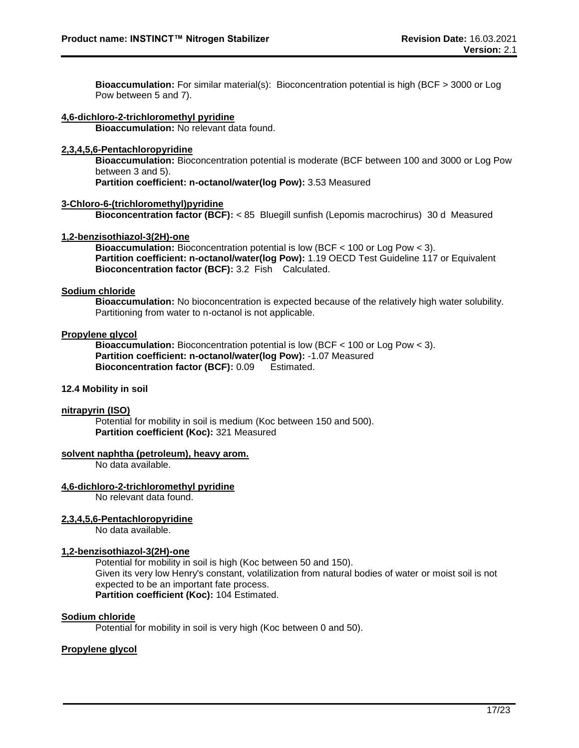**Bioaccumulation:** For similar material(s): Bioconcentration potential is high (BCF > 3000 or Log Pow between 5 and 7).

#### **4,6-dichloro-2-trichloromethyl pyridine**

**Bioaccumulation:** No relevant data found.

#### **2,3,4,5,6-Pentachloropyridine**

**Bioaccumulation:** Bioconcentration potential is moderate (BCF between 100 and 3000 or Log Pow between 3 and 5).

**Partition coefficient: n-octanol/water(log Pow):** 3.53 Measured

#### **3-Chloro-6-(trichloromethyl)pyridine**

**Bioconcentration factor (BCF):** < 85 Bluegill sunfish (Lepomis macrochirus) 30 d Measured

#### **1,2-benzisothiazol-3(2H)-one**

**Bioaccumulation:** Bioconcentration potential is low (BCF < 100 or Log Pow < 3). **Partition coefficient: n-octanol/water(log Pow):** 1.19 OECD Test Guideline 117 or Equivalent **Bioconcentration factor (BCF):** 3.2 Fish Calculated.

#### **Sodium chloride**

**Bioaccumulation:** No bioconcentration is expected because of the relatively high water solubility. Partitioning from water to n-octanol is not applicable.

#### **Propylene glycol**

**Bioaccumulation:** Bioconcentration potential is low (BCF < 100 or Log Pow < 3). **Partition coefficient: n-octanol/water(log Pow):** -1.07 Measured **Bioconcentration factor (BCF):** 0.09 Estimated.

#### **12.4 Mobility in soil**

#### **nitrapyrin (ISO)**

Potential for mobility in soil is medium (Koc between 150 and 500). **Partition coefficient (Koc):** 321 Measured

#### **solvent naphtha (petroleum), heavy arom.**

No data available.

#### **4,6-dichloro-2-trichloromethyl pyridine**

No relevant data found.

#### **2,3,4,5,6-Pentachloropyridine**

No data available.

#### **1,2-benzisothiazol-3(2H)-one**

Potential for mobility in soil is high (Koc between 50 and 150). Given its very low Henry's constant, volatilization from natural bodies of water or moist soil is not expected to be an important fate process. **Partition coefficient (Koc):** 104 Estimated.

#### **Sodium chloride**

Potential for mobility in soil is very high (Koc between 0 and 50).

#### **Propylene glycol**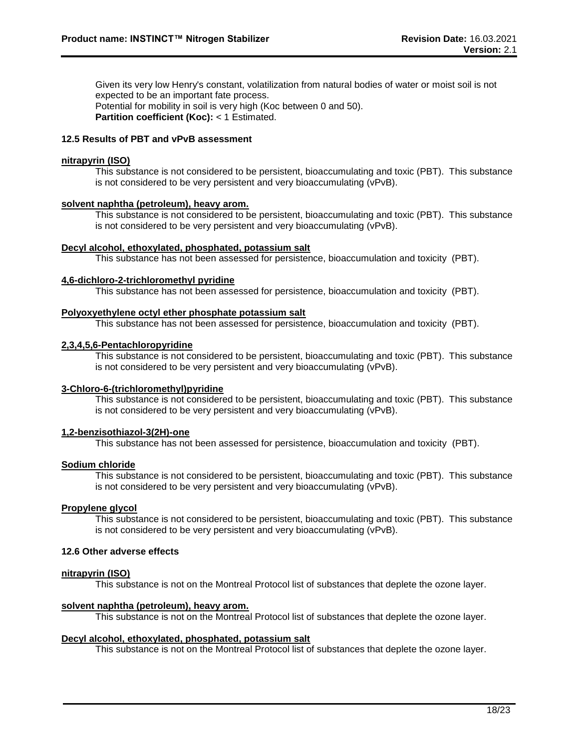Given its very low Henry's constant, volatilization from natural bodies of water or moist soil is not expected to be an important fate process. Potential for mobility in soil is very high (Koc between 0 and 50). **Partition coefficient (Koc):** < 1 Estimated.

#### **12.5 Results of PBT and vPvB assessment**

#### **nitrapyrin (ISO)**

This substance is not considered to be persistent, bioaccumulating and toxic (PBT). This substance is not considered to be very persistent and very bioaccumulating (vPvB).

#### **solvent naphtha (petroleum), heavy arom.**

This substance is not considered to be persistent, bioaccumulating and toxic (PBT). This substance is not considered to be very persistent and very bioaccumulating (vPvB).

#### **Decyl alcohol, ethoxylated, phosphated, potassium salt**

This substance has not been assessed for persistence, bioaccumulation and toxicity (PBT).

#### **4,6-dichloro-2-trichloromethyl pyridine**

This substance has not been assessed for persistence, bioaccumulation and toxicity (PBT).

#### **Polyoxyethylene octyl ether phosphate potassium salt**

This substance has not been assessed for persistence, bioaccumulation and toxicity (PBT).

#### **2,3,4,5,6-Pentachloropyridine**

This substance is not considered to be persistent, bioaccumulating and toxic (PBT). This substance is not considered to be very persistent and very bioaccumulating (vPvB).

#### **3-Chloro-6-(trichloromethyl)pyridine**

This substance is not considered to be persistent, bioaccumulating and toxic (PBT). This substance is not considered to be very persistent and very bioaccumulating (vPvB).

#### **1,2-benzisothiazol-3(2H)-one**

This substance has not been assessed for persistence, bioaccumulation and toxicity (PBT).

#### **Sodium chloride**

This substance is not considered to be persistent, bioaccumulating and toxic (PBT). This substance is not considered to be very persistent and very bioaccumulating (vPvB).

#### **Propylene glycol**

This substance is not considered to be persistent, bioaccumulating and toxic (PBT). This substance is not considered to be very persistent and very bioaccumulating (vPvB).

#### **12.6 Other adverse effects**

#### **nitrapyrin (ISO)**

This substance is not on the Montreal Protocol list of substances that deplete the ozone layer.

#### **solvent naphtha (petroleum), heavy arom.**

This substance is not on the Montreal Protocol list of substances that deplete the ozone layer.

#### **Decyl alcohol, ethoxylated, phosphated, potassium salt**

This substance is not on the Montreal Protocol list of substances that deplete the ozone layer.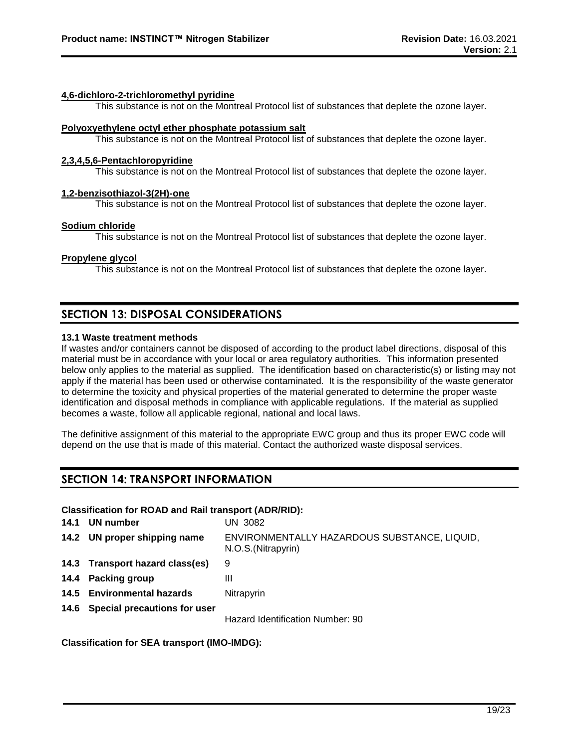#### **4,6-dichloro-2-trichloromethyl pyridine**

This substance is not on the Montreal Protocol list of substances that deplete the ozone layer.

#### **Polyoxyethylene octyl ether phosphate potassium salt**

This substance is not on the Montreal Protocol list of substances that deplete the ozone layer.

#### **2,3,4,5,6-Pentachloropyridine**

This substance is not on the Montreal Protocol list of substances that deplete the ozone layer.

#### **1,2-benzisothiazol-3(2H)-one**

This substance is not on the Montreal Protocol list of substances that deplete the ozone layer.

#### **Sodium chloride**

This substance is not on the Montreal Protocol list of substances that deplete the ozone layer.

#### **Propylene glycol**

This substance is not on the Montreal Protocol list of substances that deplete the ozone layer.

## **SECTION 13: DISPOSAL CONSIDERATIONS**

#### **13.1 Waste treatment methods**

If wastes and/or containers cannot be disposed of according to the product label directions, disposal of this material must be in accordance with your local or area regulatory authorities. This information presented below only applies to the material as supplied. The identification based on characteristic(s) or listing may not apply if the material has been used or otherwise contaminated. It is the responsibility of the waste generator to determine the toxicity and physical properties of the material generated to determine the proper waste identification and disposal methods in compliance with applicable regulations. If the material as supplied becomes a waste, follow all applicable regional, national and local laws.

The definitive assignment of this material to the appropriate EWC group and thus its proper EWC code will depend on the use that is made of this material. Contact the authorized waste disposal services.

## **SECTION 14: TRANSPORT INFORMATION**

#### **Classification for ROAD and Rail transport (ADR/RID):**

| 14.1 | UN number                         | UN 3082                                                             |
|------|-----------------------------------|---------------------------------------------------------------------|
|      | 14.2 UN proper shipping name      | ENVIRONMENTALLY HAZARDOUS SUBSTANCE, LIQUID,<br>N.O.S. (Nitrapyrin) |
|      | 14.3 Transport hazard class(es)   | 9                                                                   |
|      | 14.4 Packing group                | Ш                                                                   |
|      | 14.5 Environmental hazards        | Nitrapyrin                                                          |
|      | 14.6 Special precautions for user |                                                                     |
|      |                                   | Hazard Identification Number: 90                                    |

**Classification for SEA transport (IMO-IMDG):**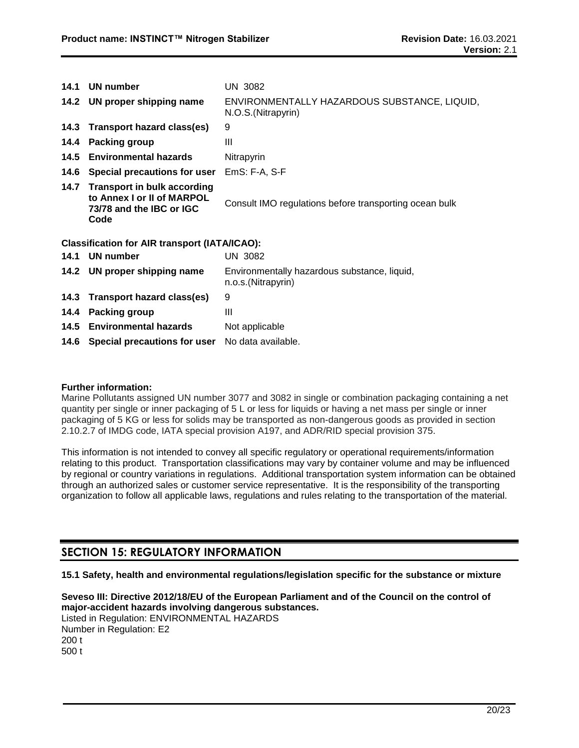| 14.1 | UN number                                                                                          | UN 3082                                                             |
|------|----------------------------------------------------------------------------------------------------|---------------------------------------------------------------------|
|      | 14.2 UN proper shipping name                                                                       | ENVIRONMENTALLY HAZARDOUS SUBSTANCE, LIQUID,<br>N.O.S. (Nitrapyrin) |
|      | 14.3 Transport hazard class(es)                                                                    | 9                                                                   |
| 14.4 | <b>Packing group</b>                                                                               | Ш                                                                   |
| 14.5 | <b>Environmental hazards</b>                                                                       | Nitrapyrin                                                          |
| 14.6 | Special precautions for user                                                                       | $EmS: F-A, S-F$                                                     |
|      | 14.7 Transport in bulk according<br>to Annex I or II of MARPOL<br>73/78 and the IBC or IGC<br>Code | Consult IMO regulations before transporting ocean bulk              |
|      | <b>Classification for AIR transport (IATA/ICAO):</b>                                               |                                                                     |
| 14.1 | <b>UN number</b>                                                                                   | <b>UN 3082</b>                                                      |
|      | 14.2 UN proper shipping name                                                                       | Environmentally hazardous substance, liquid,<br>n.o.s.(Nitrapyrin)  |
| 14.3 | Transport hazard class(es)                                                                         | 9                                                                   |
| 14.4 | <b>Packing group</b>                                                                               | Ш                                                                   |
| 14.5 | <b>Environmental hazards</b>                                                                       | Not applicable                                                      |
| 14.6 | Special precautions for user                                                                       | No data available.                                                  |

#### **Further information:**

Marine Pollutants assigned UN number 3077 and 3082 in single or combination packaging containing a net quantity per single or inner packaging of 5 L or less for liquids or having a net mass per single or inner packaging of 5 KG or less for solids may be transported as non-dangerous goods as provided in section 2.10.2.7 of IMDG code, IATA special provision A197, and ADR/RID special provision 375.

This information is not intended to convey all specific regulatory or operational requirements/information relating to this product. Transportation classifications may vary by container volume and may be influenced by regional or country variations in regulations. Additional transportation system information can be obtained through an authorized sales or customer service representative. It is the responsibility of the transporting organization to follow all applicable laws, regulations and rules relating to the transportation of the material.

## **SECTION 15: REGULATORY INFORMATION**

**15.1 Safety, health and environmental regulations/legislation specific for the substance or mixture**

**Seveso III: Directive 2012/18/EU of the European Parliament and of the Council on the control of major-accident hazards involving dangerous substances.** Listed in Regulation: ENVIRONMENTAL HAZARDS Number in Regulation: E2 200 t 500 t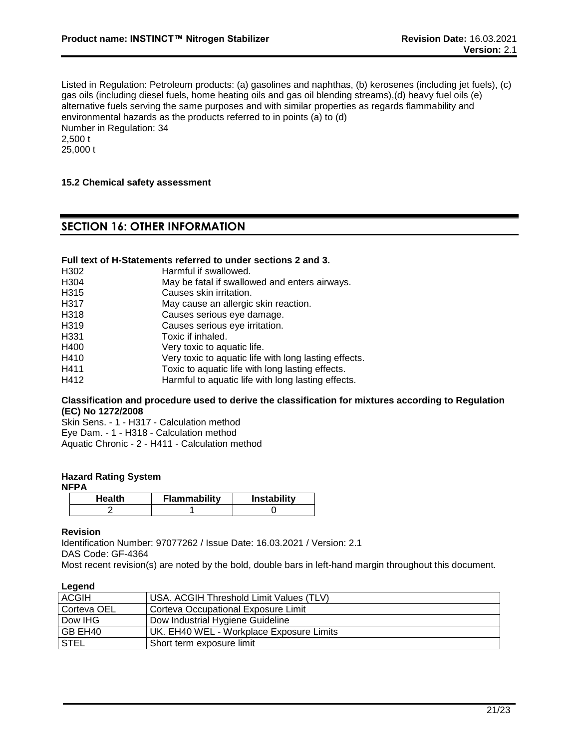Listed in Regulation: Petroleum products: (a) gasolines and naphthas, (b) kerosenes (including jet fuels), (c) gas oils (including diesel fuels, home heating oils and gas oil blending streams),(d) heavy fuel oils (e) alternative fuels serving the same purposes and with similar properties as regards flammability and environmental hazards as the products referred to in points (a) to (d) Number in Regulation: 34 2,500 t 25,000 t

#### **15.2 Chemical safety assessment**

## **SECTION 16: OTHER INFORMATION**

#### **Full text of H-Statements referred to under sections 2 and 3.**

| H302              | Harmful if swallowed.                                 |
|-------------------|-------------------------------------------------------|
| H <sub>304</sub>  | May be fatal if swallowed and enters airways.         |
| H <sub>315</sub>  | Causes skin irritation.                               |
| H317              | May cause an allergic skin reaction.                  |
| H <sub>3</sub> 18 | Causes serious eye damage.                            |
| H <sub>3</sub> 19 | Causes serious eye irritation.                        |
| H <sub>331</sub>  | Toxic if inhaled.                                     |
| H400              | Very toxic to aquatic life.                           |
| H410              | Very toxic to aquatic life with long lasting effects. |
| H411              | Toxic to aquatic life with long lasting effects.      |
| H412              | Harmful to aquatic life with long lasting effects.    |

#### **Classification and procedure used to derive the classification for mixtures according to Regulation (EC) No 1272/2008**

Skin Sens. - 1 - H317 - Calculation method Eye Dam. - 1 - H318 - Calculation method Aquatic Chronic - 2 - H411 - Calculation method

#### **Hazard Rating System**

| Health | <b>Flammability</b> | <b>Instability</b> |
|--------|---------------------|--------------------|
|        |                     |                    |

#### **Revision**

Identification Number: 97077262 / Issue Date: 16.03.2021 / Version: 2.1 DAS Code: GF-4364

Most recent revision(s) are noted by the bold, double bars in left-hand margin throughout this document.

| Legend       |                                          |
|--------------|------------------------------------------|
| <b>ACGIH</b> | USA. ACGIH Threshold Limit Values (TLV)  |
| Corteva OEL  | Corteva Occupational Exposure Limit      |
| Dow IHG      | Dow Industrial Hygiene Guideline         |
| GB EH40      | UK. EH40 WEL - Workplace Exposure Limits |
| <b>STEL</b>  | Short term exposure limit                |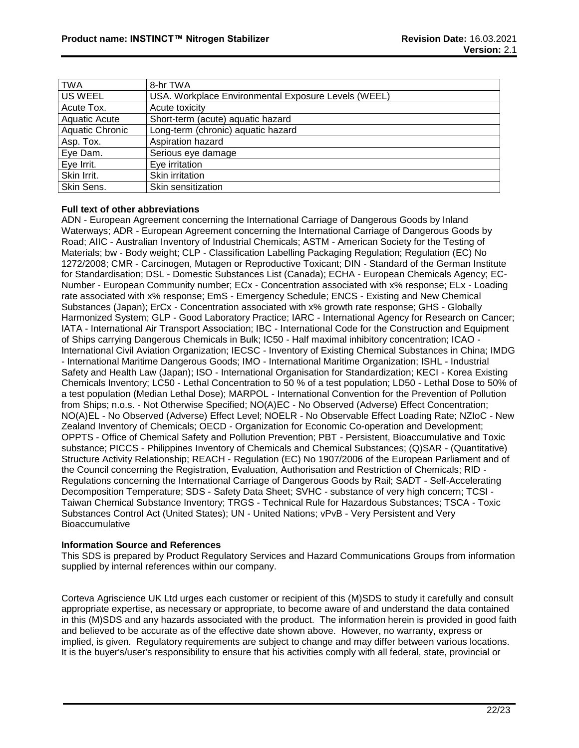| <b>TWA</b>      | 8-hr TWA                                            |
|-----------------|-----------------------------------------------------|
| <b>US WEEL</b>  | USA. Workplace Environmental Exposure Levels (WEEL) |
| Acute Tox.      | Acute toxicity                                      |
| Aquatic Acute   | Short-term (acute) aquatic hazard                   |
| Aquatic Chronic | Long-term (chronic) aquatic hazard                  |
| Asp. Tox.       | Aspiration hazard                                   |
| Eye Dam.        | Serious eye damage                                  |
| Eye Irrit.      | Eye irritation                                      |
| Skin Irrit.     | Skin irritation                                     |
| Skin Sens.      | Skin sensitization                                  |

#### **Full text of other abbreviations**

ADN - European Agreement concerning the International Carriage of Dangerous Goods by Inland Waterways; ADR - European Agreement concerning the International Carriage of Dangerous Goods by Road; AIIC - Australian Inventory of Industrial Chemicals; ASTM - American Society for the Testing of Materials; bw - Body weight; CLP - Classification Labelling Packaging Regulation; Regulation (EC) No 1272/2008; CMR - Carcinogen, Mutagen or Reproductive Toxicant; DIN - Standard of the German Institute for Standardisation; DSL - Domestic Substances List (Canada); ECHA - European Chemicals Agency; EC-Number - European Community number; ECx - Concentration associated with x% response; ELx - Loading rate associated with x% response; EmS - Emergency Schedule; ENCS - Existing and New Chemical Substances (Japan); ErCx - Concentration associated with x% growth rate response; GHS - Globally Harmonized System; GLP - Good Laboratory Practice; IARC - International Agency for Research on Cancer; IATA - International Air Transport Association; IBC - International Code for the Construction and Equipment of Ships carrying Dangerous Chemicals in Bulk; IC50 - Half maximal inhibitory concentration; ICAO - International Civil Aviation Organization; IECSC - Inventory of Existing Chemical Substances in China; IMDG - International Maritime Dangerous Goods; IMO - International Maritime Organization; ISHL - Industrial Safety and Health Law (Japan); ISO - International Organisation for Standardization; KECI - Korea Existing Chemicals Inventory; LC50 - Lethal Concentration to 50 % of a test population; LD50 - Lethal Dose to 50% of a test population (Median Lethal Dose); MARPOL - International Convention for the Prevention of Pollution from Ships; n.o.s. - Not Otherwise Specified; NO(A)EC - No Observed (Adverse) Effect Concentration; NO(A)EL - No Observed (Adverse) Effect Level; NOELR - No Observable Effect Loading Rate; NZIoC - New Zealand Inventory of Chemicals; OECD - Organization for Economic Co-operation and Development; OPPTS - Office of Chemical Safety and Pollution Prevention; PBT - Persistent, Bioaccumulative and Toxic substance; PICCS - Philippines Inventory of Chemicals and Chemical Substances; (Q)SAR - (Quantitative) Structure Activity Relationship; REACH - Regulation (EC) No 1907/2006 of the European Parliament and of the Council concerning the Registration, Evaluation, Authorisation and Restriction of Chemicals; RID - Regulations concerning the International Carriage of Dangerous Goods by Rail; SADT - Self-Accelerating Decomposition Temperature; SDS - Safety Data Sheet; SVHC - substance of very high concern; TCSI - Taiwan Chemical Substance Inventory; TRGS - Technical Rule for Hazardous Substances; TSCA - Toxic Substances Control Act (United States); UN - United Nations; vPvB - Very Persistent and Very Bioaccumulative

#### **Information Source and References**

This SDS is prepared by Product Regulatory Services and Hazard Communications Groups from information supplied by internal references within our company.

Corteva Agriscience UK Ltd urges each customer or recipient of this (M)SDS to study it carefully and consult appropriate expertise, as necessary or appropriate, to become aware of and understand the data contained in this (M)SDS and any hazards associated with the product. The information herein is provided in good faith and believed to be accurate as of the effective date shown above. However, no warranty, express or implied, is given. Regulatory requirements are subject to change and may differ between various locations. It is the buyer's/user's responsibility to ensure that his activities comply with all federal, state, provincial or